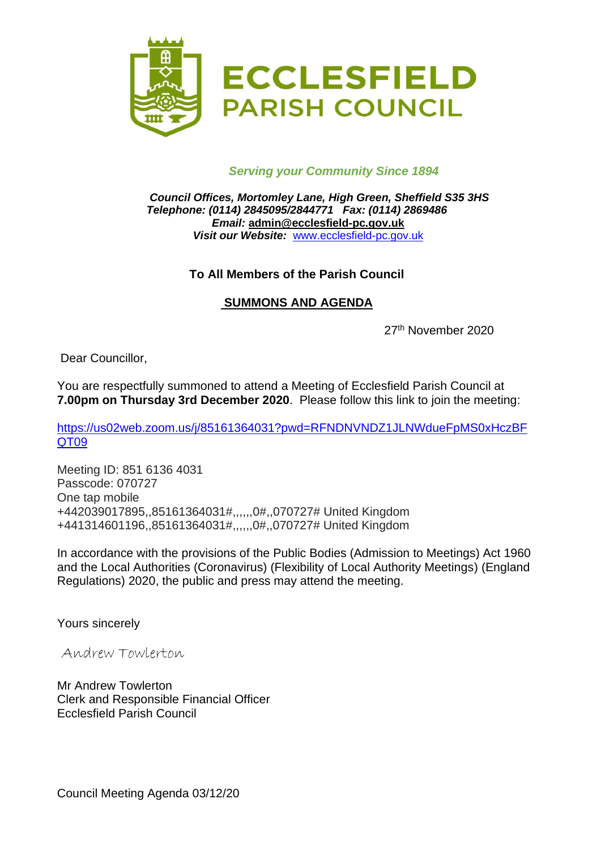

## *Serving your Community Since 1894*

*Council Offices, Mortomley Lane, High Green, Sheffield S35 3HS Telephone: (0114) 2845095/2844771 Fax: (0114) 2869486 Email:* **admin@ecclesfield-pc.gov.uk** *Visit our Website:* [www.ecclesfield-pc.gov.uk](http://www.ecclesfield-pc.gov.uk/)

## **To All Members of the Parish Council**

## **SUMMONS AND AGENDA**

27th November 2020

Dear Councillor,

You are respectfully summoned to attend a Meeting of Ecclesfield Parish Council at **7.00pm on Thursday 3rd December 2020**. Please follow this link to join the meeting:

[https://us02web.zoom.us/j/85161364031?pwd=RFNDNVNDZ1JLNWdueFpMS0xHczBF](https://us02web.zoom.us/j/85161364031?pwd=RFNDNVNDZ1JLNWdueFpMS0xHczBFQT09) [QT09](https://us02web.zoom.us/j/85161364031?pwd=RFNDNVNDZ1JLNWdueFpMS0xHczBFQT09)

Meeting ID: 851 6136 4031 Passcode: 070727 One tap mobile +442039017895,,85161364031#,,,,,,0#,,070727# United Kingdom +441314601196,,85161364031#,,,,,,0#,,070727# United Kingdom

In accordance with the provisions of the Public Bodies (Admission to Meetings) Act 1960 and the Local Authorities (Coronavirus) (Flexibility of Local Authority Meetings) (England Regulations) 2020, the public and press may attend the meeting.

Yours sincerely

Andrew Towlerton

Mr Andrew Towlerton Clerk and Responsible Financial Officer Ecclesfield Parish Council

Council Meeting Agenda 03/12/20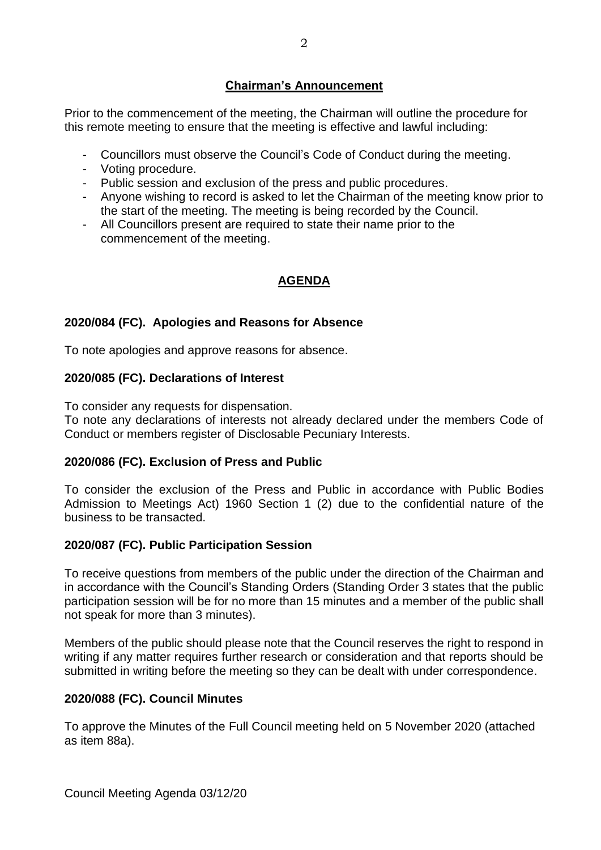# **Chairman's Announcement**

Prior to the commencement of the meeting, the Chairman will outline the procedure for this remote meeting to ensure that the meeting is effective and lawful including:

- Councillors must observe the Council's Code of Conduct during the meeting.
- Voting procedure.
- Public session and exclusion of the press and public procedures.
- Anyone wishing to record is asked to let the Chairman of the meeting know prior to the start of the meeting. The meeting is being recorded by the Council.
- All Councillors present are required to state their name prior to the commencement of the meeting.

# **AGENDA**

# **2020/084 (FC). Apologies and Reasons for Absence**

To note apologies and approve reasons for absence.

# **2020/085 (FC). Declarations of Interest**

To consider any requests for dispensation.

To note any declarations of interests not already declared under the members Code of Conduct or members register of Disclosable Pecuniary Interests.

# **2020/086 (FC). Exclusion of Press and Public**

To consider the exclusion of the Press and Public in accordance with Public Bodies Admission to Meetings Act) 1960 Section 1 (2) due to the confidential nature of the business to be transacted.

# **2020/087 (FC). Public Participation Session**

To receive questions from members of the public under the direction of the Chairman and in accordance with the Council's Standing Orders (Standing Order 3 states that the public participation session will be for no more than 15 minutes and a member of the public shall not speak for more than 3 minutes).

Members of the public should please note that the Council reserves the right to respond in writing if any matter requires further research or consideration and that reports should be submitted in writing before the meeting so they can be dealt with under correspondence.

# **2020/088 (FC). Council Minutes**

To approve the Minutes of the Full Council meeting held on 5 November 2020 (attached as item 88a).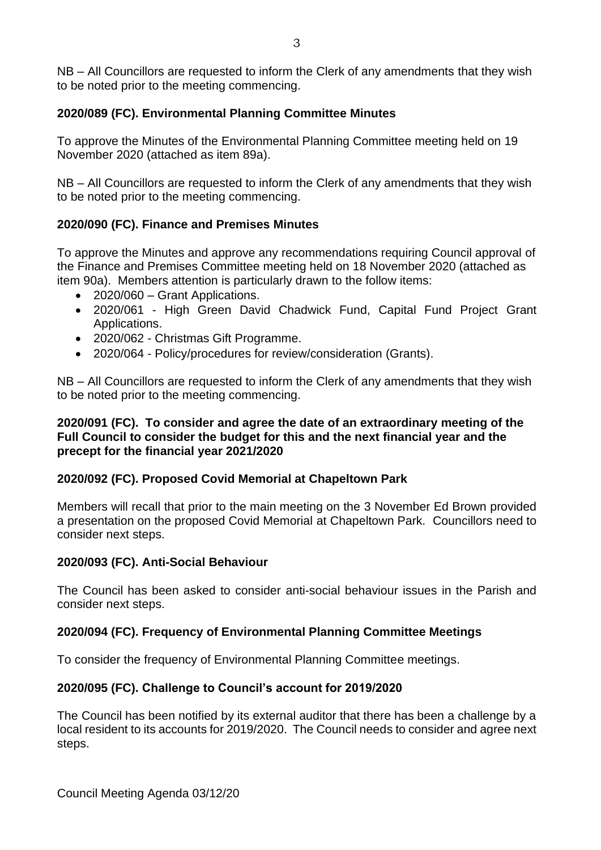NB – All Councillors are requested to inform the Clerk of any amendments that they wish to be noted prior to the meeting commencing.

## **2020/089 (FC). Environmental Planning Committee Minutes**

To approve the Minutes of the Environmental Planning Committee meeting held on 19 November 2020 (attached as item 89a).

NB – All Councillors are requested to inform the Clerk of any amendments that they wish to be noted prior to the meeting commencing.

## **2020/090 (FC). Finance and Premises Minutes**

To approve the Minutes and approve any recommendations requiring Council approval of the Finance and Premises Committee meeting held on 18 November 2020 (attached as item 90a). Members attention is particularly drawn to the follow items:

- 2020/060 Grant Applications.
- 2020/061 High Green David Chadwick Fund, Capital Fund Project Grant Applications.
- 2020/062 Christmas Gift Programme.
- 2020/064 Policy/procedures for review/consideration (Grants).

NB – All Councillors are requested to inform the Clerk of any amendments that they wish to be noted prior to the meeting commencing.

#### **2020/091 (FC). To consider and agree the date of an extraordinary meeting of the Full Council to consider the budget for this and the next financial year and the precept for the financial year 2021/2020**

#### **2020/092 (FC). Proposed Covid Memorial at Chapeltown Park**

Members will recall that prior to the main meeting on the 3 November Ed Brown provided a presentation on the proposed Covid Memorial at Chapeltown Park. Councillors need to consider next steps.

#### **2020/093 (FC). Anti-Social Behaviour**

The Council has been asked to consider anti-social behaviour issues in the Parish and consider next steps.

#### **2020/094 (FC). Frequency of Environmental Planning Committee Meetings**

To consider the frequency of Environmental Planning Committee meetings.

#### **2020/095 (FC). Challenge to Council's account for 2019/2020**

The Council has been notified by its external auditor that there has been a challenge by a local resident to its accounts for 2019/2020. The Council needs to consider and agree next steps.